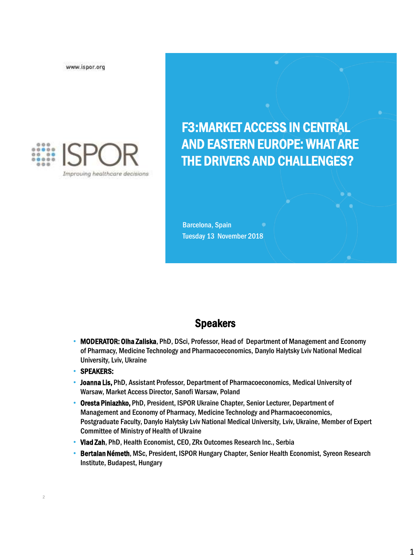www.ispor.org



F3:MARKET ACCESS IN CENTRAL AND EASTERN EUROPE: WHAT ARE THE DRIVERS AND CHALLENGES?

Barcelona, Spain Tuesday 13 November 2018

#### Speakers

- MODERATOR: Olha Zaliska, PhD, DSci, Professor, Head of Department of Management and Economy of Pharmacy, Medicine Technology and Pharmacoeconomics, Danylo Halytsky Lviv National Medical University, Lviv, Ukraine
- SPEAKERS:

2

- Joanna Lis, PhD, Assistant Professor, Department of Pharmacoeconomics, Medical University of Warsaw, Market Access Director, Sanofi Warsaw, Poland
- Oresta Piniazhko, PhD, President, ISPOR Ukraine Chapter, Senior Lecturer, Department of Management and Economy of Pharmacy, Medicine Technology and Pharmacoeconomics, Postgraduate Faculty, Danylo Halytsky Lviv National Medical University, Lviv, Ukraine, Member of Expert Committee of Ministry of Health of Ukraine
- Vlad Zah, PhD, Health Economist, CEO, ZRx Outcomes Research Inc., Serbia
- Bertalan Németh, MSc, President, ISPOR Hungary Chapter, Senior Health Economist, Syreon Research Institute, Budapest, Hungary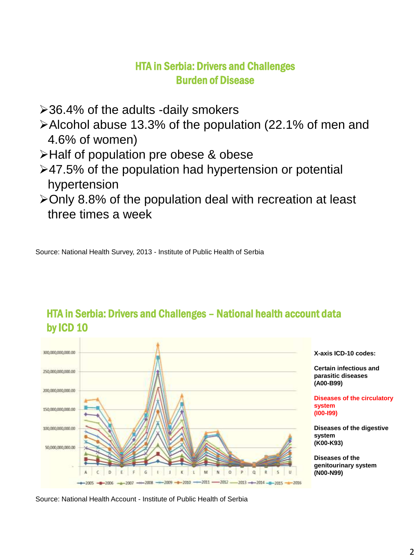#### HTA in Serbia: Drivers and Challenges Burden of Disease

- 36.4% of the adults -daily smokers
- Alcohol abuse 13.3% of the population (22.1% of men and 4.6% of women)
- >Half of population pre obese & obese
- 47.5% of the population had hypertension or potential hypertension
- Only 8.8% of the population deal with recreation at least three times a week

Source: National Health Survey, 2013 - Institute of Public Health of Serbia



#### HTA in Serbia: Drivers and Challenges – National health account data by ICD 10

Source: National Health Account - Institute of Public Health of Serbia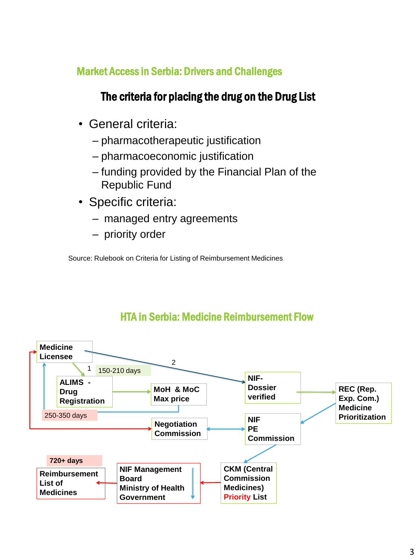#### Market Access in Serbia: Drivers and Challenges

# The criteria for placing the drug on the Drug List

- General criteria:
	- pharmacotherapeutic justification
	- pharmacoeconomic justification
	- funding provided by the Financial Plan of the Republic Fund
- Specific criteria:
	- managed entry agreements
	- priority order

Source: Rulebook on Criteria for Listing of Reimbursement Medicines



# HTA in Serbia: Medicine Reimbursement Flow